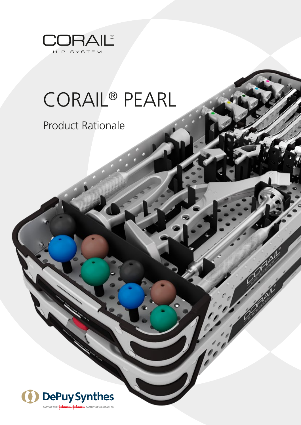

# CORAIL® PEARL

## Product Rationale

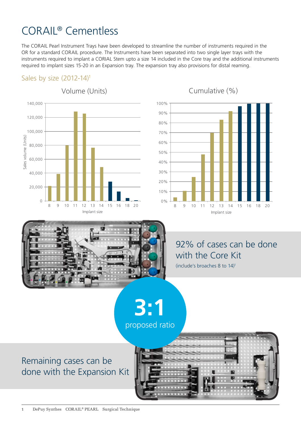## CORAIL® Cementless

The CORAIL Pearl Instrument Trays have been developed to streamline the number of instruments required in the OR for a standard CORAIL procedure. The Instruments have been separated into two single layer trays with the instruments required to implant a CORIAL Stem upto a size 14 included in the Core tray and the additional instruments required to implant sizes 15-20 in an Expansion tray. The expansion tray also provisions for distal reaming.

#### Sales by size  $(2012-14)^1$



Cumulative (%)





#### 92% of cases can be done with the Core Kit

(include's broaches 8 to 14)1

**3:1** proposed ratio

#### Remaining cases can be done with the Expansion Kit

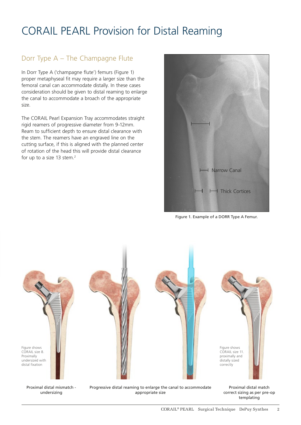### CORAIL PEARL Provision for Distal Reaming

#### Dorr Type A – The Champagne Flute

In Dorr Type A ('champagne flute') femurs (Figure 1) proper metaphyseal fit may require a larger size than the femoral canal can accommodate distally. In these cases consideration should be given to distal reaming to enlarge the canal to accommodate a broach of the appropriate size.

The CORAIL Pearl Expansion Tray accommodates straight rigid reamers of progressive diameter from 9-12mm. Ream to sufficient depth to ensure distal clearance with the stem. The reamers have an engraved line on the cutting surface, if this is aligned with the planned center of rotation of the head this will provide distal clearance for up to a size 13 stem.<sup>2</sup>



Figure 1. Example of a DORR Type A Femur.



Proximal distal mismatch undersizing

Progressive distal reaming to enlarge the canal to accommodate appropriate size

Proximal distal match correct sizing as per pre-op templating